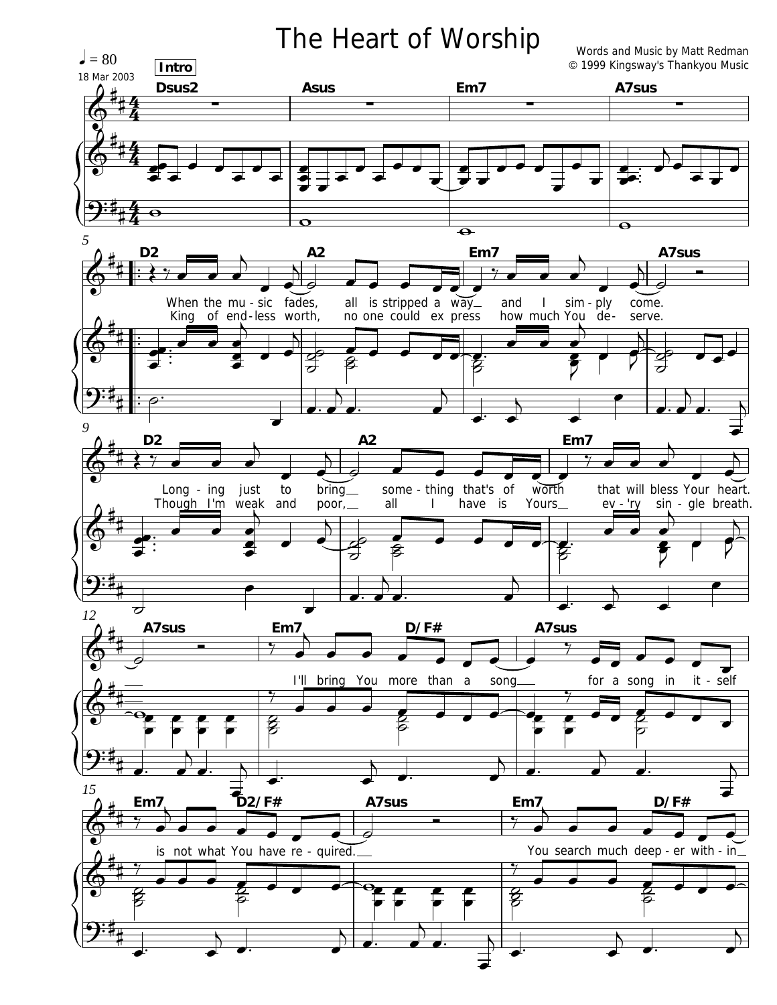## The Heart of Worship

Words and Music by Matt Redman © 1999 Kingsway's Thankyou Music